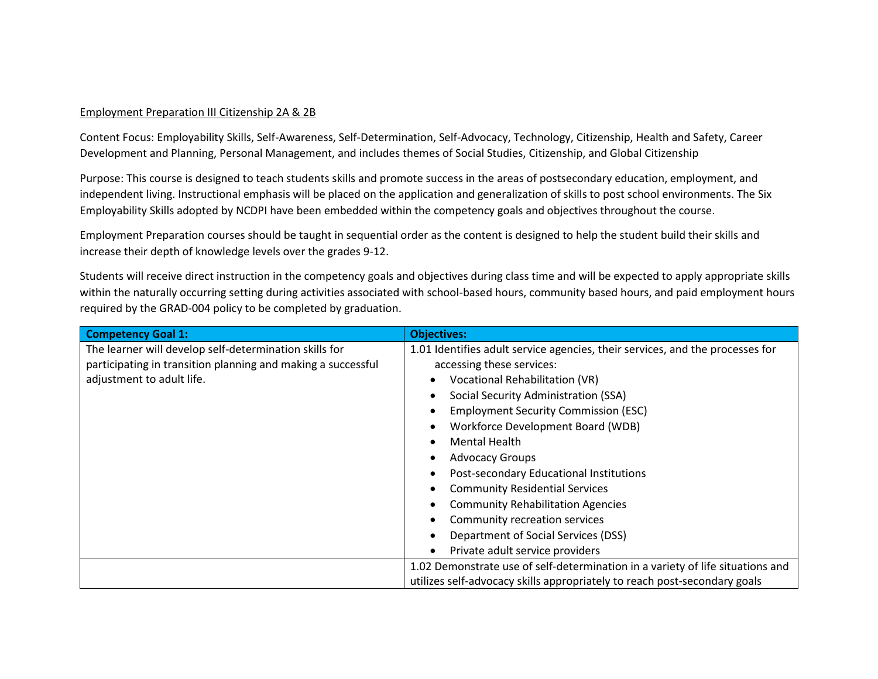## Employment Preparation III Citizenship 2A & 2B

Content Focus: Employability Skills, Self-Awareness, Self-Determination, Self-Advocacy, Technology, Citizenship, Health and Safety, Career Development and Planning, Personal Management, and includes themes of Social Studies, Citizenship, and Global Citizenship

Purpose: This course is designed to teach students skills and promote success in the areas of postsecondary education, employment, and independent living. Instructional emphasis will be placed on the application and generalization of skills to post school environments. The Six Employability Skills adopted by NCDPI have been embedded within the competency goals and objectives throughout the course.

Employment Preparation courses should be taught in sequential order as the content is designed to help the student build their skills and increase their depth of knowledge levels over the grades 9-12.

Students will receive direct instruction in the competency goals and objectives during class time and will be expected to apply appropriate skills within the naturally occurring setting during activities associated with school-based hours, community based hours, and paid employment hours required by the GRAD-004 policy to be completed by graduation.

| <b>Competency Goal 1:</b>                                    | <b>Objectives:</b>                                                             |
|--------------------------------------------------------------|--------------------------------------------------------------------------------|
| The learner will develop self-determination skills for       | 1.01 Identifies adult service agencies, their services, and the processes for  |
| participating in transition planning and making a successful | accessing these services:                                                      |
| adjustment to adult life.                                    | Vocational Rehabilitation (VR)<br>$\bullet$                                    |
|                                                              | Social Security Administration (SSA)<br>$\bullet$                              |
|                                                              | <b>Employment Security Commission (ESC)</b><br>$\bullet$                       |
|                                                              | Workforce Development Board (WDB)<br>$\bullet$                                 |
|                                                              | <b>Mental Health</b><br>$\bullet$                                              |
|                                                              | <b>Advocacy Groups</b><br>$\bullet$                                            |
|                                                              | Post-secondary Educational Institutions<br>$\bullet$                           |
|                                                              | <b>Community Residential Services</b><br>$\bullet$                             |
|                                                              | <b>Community Rehabilitation Agencies</b>                                       |
|                                                              | Community recreation services<br>$\bullet$                                     |
|                                                              | Department of Social Services (DSS)                                            |
|                                                              | Private adult service providers<br>$\bullet$                                   |
|                                                              | 1.02 Demonstrate use of self-determination in a variety of life situations and |
|                                                              | utilizes self-advocacy skills appropriately to reach post-secondary goals      |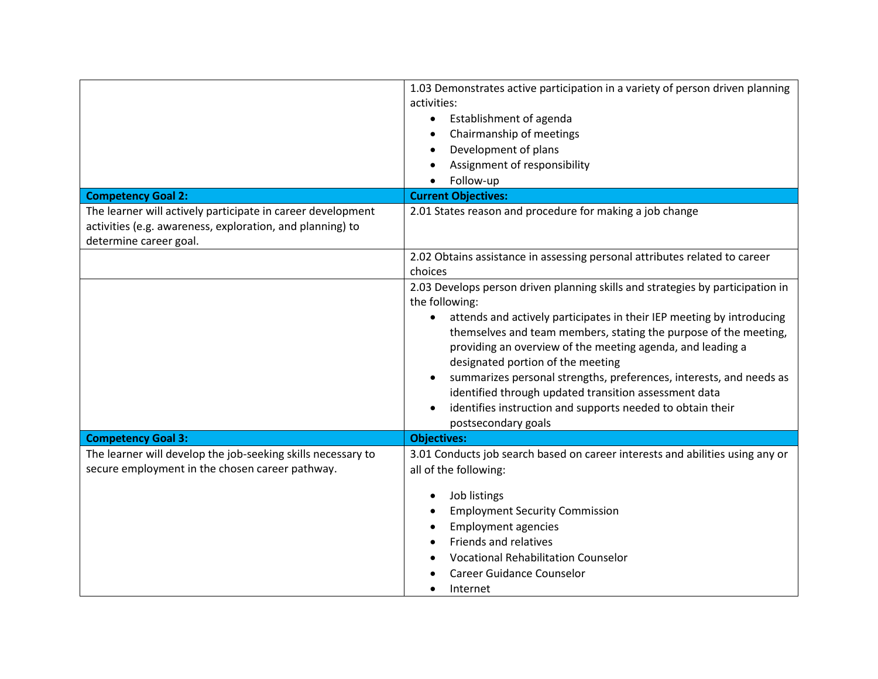| <b>Competency Goal 2:</b>                                                                                                                          | 1.03 Demonstrates active participation in a variety of person driven planning<br>activities:<br>Establishment of agenda<br>$\bullet$<br>Chairmanship of meetings<br>Development of plans<br>Assignment of responsibility<br>Follow-up<br><b>Current Objectives:</b>                                                                                                                                                                                                                                                                                                                |
|----------------------------------------------------------------------------------------------------------------------------------------------------|------------------------------------------------------------------------------------------------------------------------------------------------------------------------------------------------------------------------------------------------------------------------------------------------------------------------------------------------------------------------------------------------------------------------------------------------------------------------------------------------------------------------------------------------------------------------------------|
| The learner will actively participate in career development<br>activities (e.g. awareness, exploration, and planning) to<br>determine career goal. | 2.01 States reason and procedure for making a job change                                                                                                                                                                                                                                                                                                                                                                                                                                                                                                                           |
|                                                                                                                                                    | 2.02 Obtains assistance in assessing personal attributes related to career<br>choices                                                                                                                                                                                                                                                                                                                                                                                                                                                                                              |
|                                                                                                                                                    | 2.03 Develops person driven planning skills and strategies by participation in<br>the following:<br>attends and actively participates in their IEP meeting by introducing<br>themselves and team members, stating the purpose of the meeting,<br>providing an overview of the meeting agenda, and leading a<br>designated portion of the meeting<br>summarizes personal strengths, preferences, interests, and needs as<br>identified through updated transition assessment data<br>identifies instruction and supports needed to obtain their<br>$\bullet$<br>postsecondary goals |
| <b>Competency Goal 3:</b>                                                                                                                          | <b>Objectives:</b>                                                                                                                                                                                                                                                                                                                                                                                                                                                                                                                                                                 |
| The learner will develop the job-seeking skills necessary to<br>secure employment in the chosen career pathway.                                    | 3.01 Conducts job search based on career interests and abilities using any or<br>all of the following:                                                                                                                                                                                                                                                                                                                                                                                                                                                                             |
|                                                                                                                                                    | Job listings<br><b>Employment Security Commission</b><br><b>Employment agencies</b><br>Friends and relatives<br><b>Vocational Rehabilitation Counselor</b><br><b>Career Guidance Counselor</b><br>Internet                                                                                                                                                                                                                                                                                                                                                                         |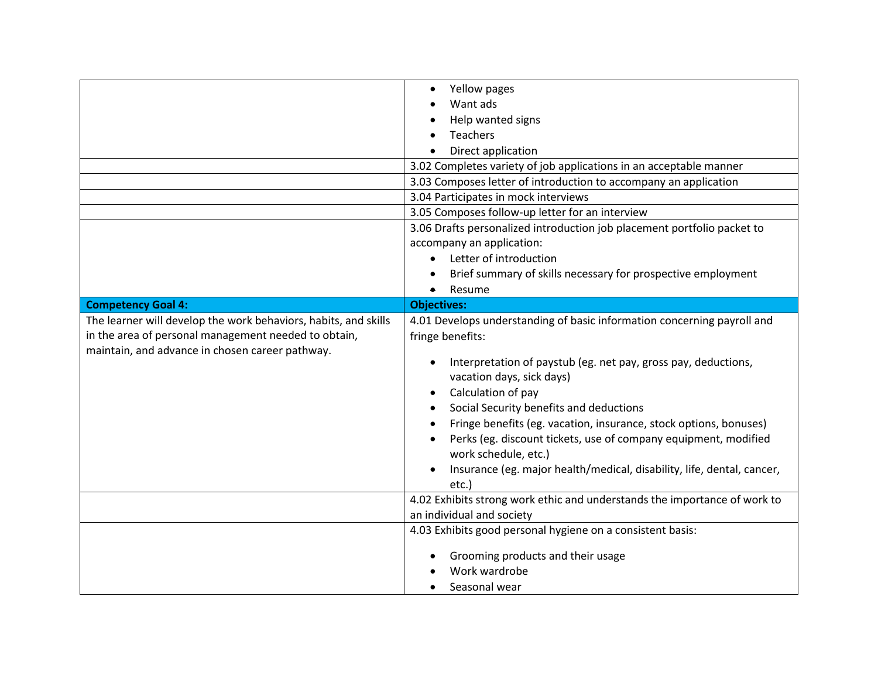|                                                                 | Yellow pages                                                                            |
|-----------------------------------------------------------------|-----------------------------------------------------------------------------------------|
|                                                                 | Want ads                                                                                |
|                                                                 | Help wanted signs                                                                       |
|                                                                 | <b>Teachers</b>                                                                         |
|                                                                 | Direct application                                                                      |
|                                                                 | 3.02 Completes variety of job applications in an acceptable manner                      |
|                                                                 | 3.03 Composes letter of introduction to accompany an application                        |
|                                                                 | 3.04 Participates in mock interviews                                                    |
|                                                                 | 3.05 Composes follow-up letter for an interview                                         |
|                                                                 | 3.06 Drafts personalized introduction job placement portfolio packet to                 |
|                                                                 | accompany an application:                                                               |
|                                                                 | Letter of introduction                                                                  |
|                                                                 | Brief summary of skills necessary for prospective employment                            |
|                                                                 | Resume<br>$\bullet$                                                                     |
| <b>Competency Goal 4:</b>                                       | <b>Objectives:</b>                                                                      |
| The learner will develop the work behaviors, habits, and skills | 4.01 Develops understanding of basic information concerning payroll and                 |
| in the area of personal management needed to obtain,            | fringe benefits:                                                                        |
| maintain, and advance in chosen career pathway.                 |                                                                                         |
|                                                                 | Interpretation of paystub (eg. net pay, gross pay, deductions,                          |
|                                                                 | vacation days, sick days)                                                               |
|                                                                 | Calculation of pay                                                                      |
|                                                                 | Social Security benefits and deductions                                                 |
|                                                                 | Fringe benefits (eg. vacation, insurance, stock options, bonuses)                       |
|                                                                 | Perks (eg. discount tickets, use of company equipment, modified<br>work schedule, etc.) |
|                                                                 | Insurance (eg. major health/medical, disability, life, dental, cancer,                  |
|                                                                 | etc.)                                                                                   |
|                                                                 |                                                                                         |
|                                                                 | 4.02 Exhibits strong work ethic and understands the importance of work to               |
|                                                                 | an individual and society                                                               |
|                                                                 | 4.03 Exhibits good personal hygiene on a consistent basis:                              |
|                                                                 | Grooming products and their usage                                                       |
|                                                                 | Work wardrobe                                                                           |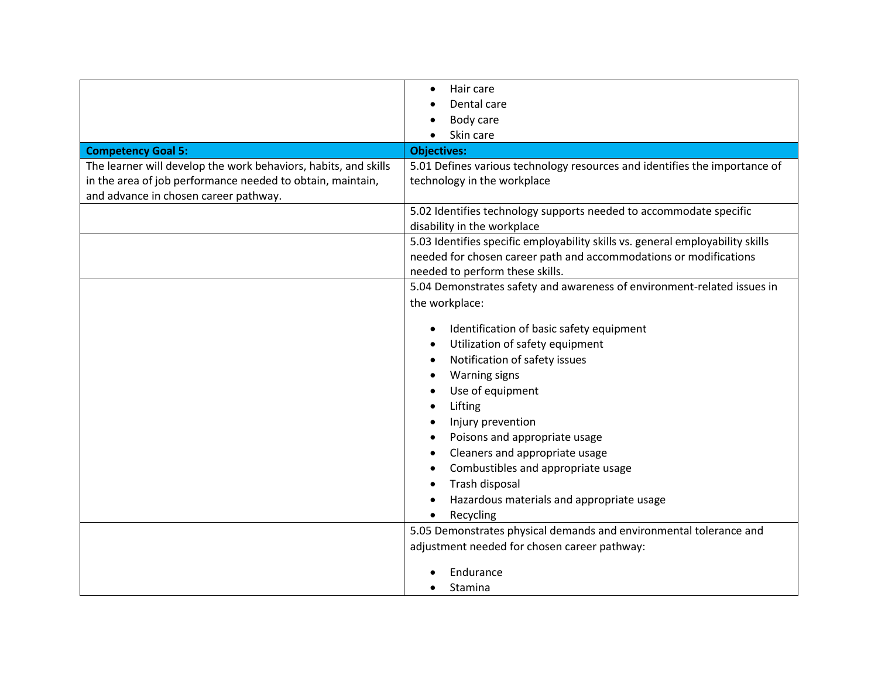|                                                                 | Hair care<br>$\bullet$                                                         |
|-----------------------------------------------------------------|--------------------------------------------------------------------------------|
|                                                                 | Dental care                                                                    |
|                                                                 | Body care                                                                      |
|                                                                 | Skin care                                                                      |
| <b>Competency Goal 5:</b>                                       | <b>Objectives:</b>                                                             |
| The learner will develop the work behaviors, habits, and skills | 5.01 Defines various technology resources and identifies the importance of     |
| in the area of job performance needed to obtain, maintain,      | technology in the workplace                                                    |
| and advance in chosen career pathway.                           |                                                                                |
|                                                                 | 5.02 Identifies technology supports needed to accommodate specific             |
|                                                                 | disability in the workplace                                                    |
|                                                                 | 5.03 Identifies specific employability skills vs. general employability skills |
|                                                                 | needed for chosen career path and accommodations or modifications              |
|                                                                 | needed to perform these skills.                                                |
|                                                                 | 5.04 Demonstrates safety and awareness of environment-related issues in        |
|                                                                 | the workplace:                                                                 |
|                                                                 |                                                                                |
|                                                                 | Identification of basic safety equipment                                       |
|                                                                 | Utilization of safety equipment                                                |
|                                                                 | Notification of safety issues                                                  |
|                                                                 | <b>Warning signs</b>                                                           |
|                                                                 | Use of equipment                                                               |
|                                                                 | Lifting                                                                        |
|                                                                 | Injury prevention                                                              |
|                                                                 | Poisons and appropriate usage                                                  |
|                                                                 | Cleaners and appropriate usage                                                 |
|                                                                 | Combustibles and appropriate usage                                             |
|                                                                 | Trash disposal                                                                 |
|                                                                 | Hazardous materials and appropriate usage                                      |
|                                                                 | Recycling                                                                      |
|                                                                 | 5.05 Demonstrates physical demands and environmental tolerance and             |
|                                                                 | adjustment needed for chosen career pathway:                                   |
|                                                                 |                                                                                |
|                                                                 | Endurance                                                                      |
|                                                                 | Stamina                                                                        |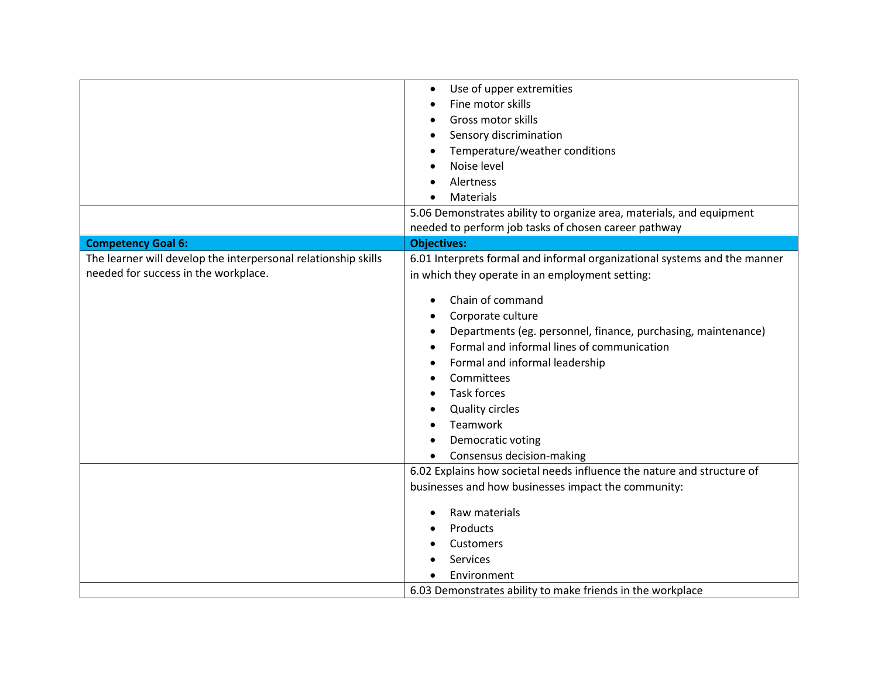|                                                                                                        | Use of upper extremities<br>Fine motor skills<br>Gross motor skills<br>Sensory discrimination<br>Temperature/weather conditions<br>Noise level                                                                                                                                                                     |
|--------------------------------------------------------------------------------------------------------|--------------------------------------------------------------------------------------------------------------------------------------------------------------------------------------------------------------------------------------------------------------------------------------------------------------------|
|                                                                                                        | Alertness<br>Materials                                                                                                                                                                                                                                                                                             |
|                                                                                                        | 5.06 Demonstrates ability to organize area, materials, and equipment                                                                                                                                                                                                                                               |
|                                                                                                        | needed to perform job tasks of chosen career pathway                                                                                                                                                                                                                                                               |
| <b>Competency Goal 6:</b>                                                                              | <b>Objectives:</b>                                                                                                                                                                                                                                                                                                 |
| The learner will develop the interpersonal relationship skills<br>needed for success in the workplace. | 6.01 Interprets formal and informal organizational systems and the manner<br>in which they operate in an employment setting:                                                                                                                                                                                       |
|                                                                                                        | Chain of command<br>Corporate culture<br>Departments (eg. personnel, finance, purchasing, maintenance)<br>Formal and informal lines of communication<br>Formal and informal leadership<br>Committees<br><b>Task forces</b><br><b>Quality circles</b><br>Teamwork<br>Democratic voting<br>Consensus decision-making |
|                                                                                                        | 6.02 Explains how societal needs influence the nature and structure of<br>businesses and how businesses impact the community:<br>Raw materials<br>Products<br>Customers<br>Services<br>Environment<br>6.03 Demonstrates ability to make friends in the workplace                                                   |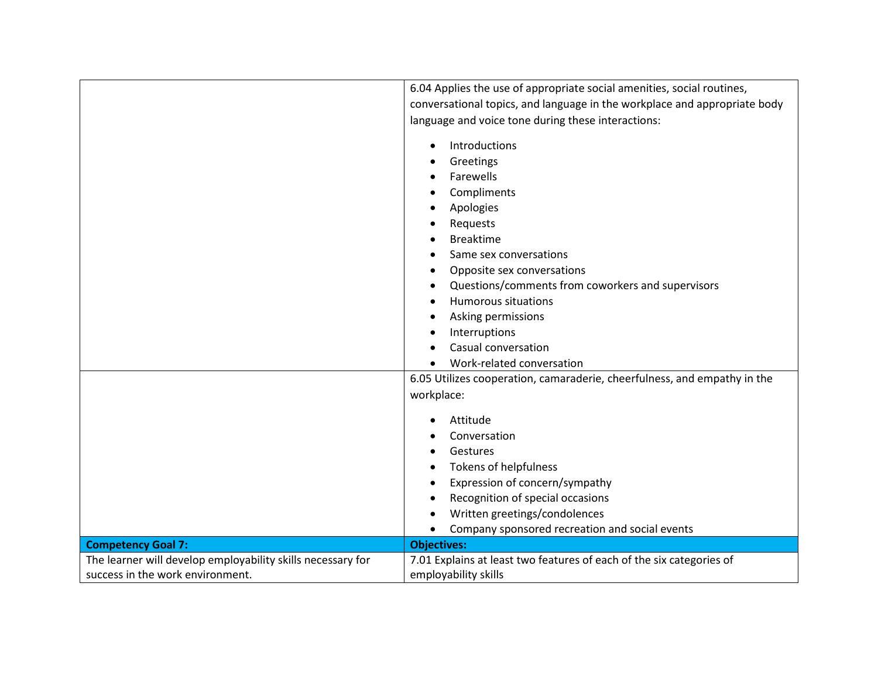|                                                             | 6.04 Applies the use of appropriate social amenities, social routines,    |
|-------------------------------------------------------------|---------------------------------------------------------------------------|
|                                                             | conversational topics, and language in the workplace and appropriate body |
|                                                             | language and voice tone during these interactions:                        |
|                                                             | Introductions                                                             |
|                                                             |                                                                           |
|                                                             | Greetings<br>Farewells                                                    |
|                                                             |                                                                           |
|                                                             | Compliments                                                               |
|                                                             | Apologies                                                                 |
|                                                             | Requests                                                                  |
|                                                             | <b>Breaktime</b>                                                          |
|                                                             | Same sex conversations                                                    |
|                                                             | Opposite sex conversations<br>$\bullet$                                   |
|                                                             | Questions/comments from coworkers and supervisors                         |
|                                                             | <b>Humorous situations</b>                                                |
|                                                             | Asking permissions                                                        |
|                                                             | Interruptions                                                             |
|                                                             | Casual conversation                                                       |
|                                                             | Work-related conversation                                                 |
|                                                             | 6.05 Utilizes cooperation, camaraderie, cheerfulness, and empathy in the  |
|                                                             | workplace:                                                                |
|                                                             | Attitude                                                                  |
|                                                             | Conversation                                                              |
|                                                             | Gestures                                                                  |
|                                                             | <b>Tokens of helpfulness</b><br>٠                                         |
|                                                             | Expression of concern/sympathy                                            |
|                                                             | Recognition of special occasions<br>$\bullet$                             |
|                                                             | Written greetings/condolences<br>$\bullet$                                |
|                                                             | Company sponsored recreation and social events                            |
| <b>Competency Goal 7:</b>                                   | <b>Objectives:</b>                                                        |
| The learner will develop employability skills necessary for | 7.01 Explains at least two features of each of the six categories of      |
| success in the work environment.                            | employability skills                                                      |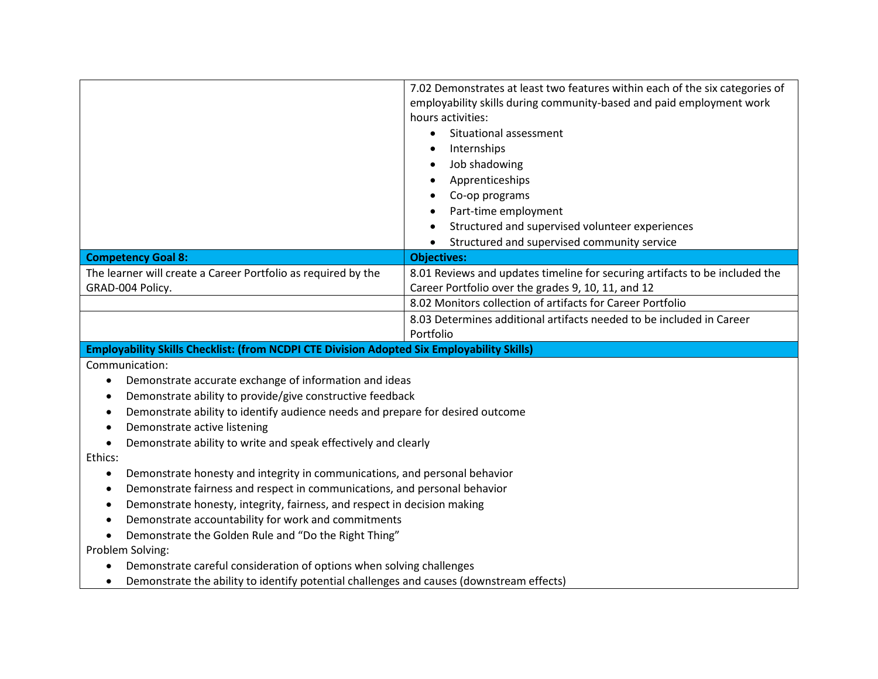|                                                                                                                                                                  | 7.02 Demonstrates at least two features within each of the six categories of |
|------------------------------------------------------------------------------------------------------------------------------------------------------------------|------------------------------------------------------------------------------|
|                                                                                                                                                                  | employability skills during community-based and paid employment work         |
|                                                                                                                                                                  | hours activities:                                                            |
|                                                                                                                                                                  | Situational assessment<br>$\bullet$                                          |
|                                                                                                                                                                  | Internships                                                                  |
|                                                                                                                                                                  | Job shadowing                                                                |
|                                                                                                                                                                  | Apprenticeships                                                              |
|                                                                                                                                                                  | Co-op programs                                                               |
|                                                                                                                                                                  | Part-time employment                                                         |
|                                                                                                                                                                  | Structured and supervised volunteer experiences                              |
|                                                                                                                                                                  | Structured and supervised community service<br>$\bullet$                     |
| <b>Competency Goal 8:</b>                                                                                                                                        | <b>Objectives:</b>                                                           |
| The learner will create a Career Portfolio as required by the                                                                                                    | 8.01 Reviews and updates timeline for securing artifacts to be included the  |
| GRAD-004 Policy.                                                                                                                                                 | Career Portfolio over the grades 9, 10, 11, and 12                           |
|                                                                                                                                                                  | 8.02 Monitors collection of artifacts for Career Portfolio                   |
|                                                                                                                                                                  | 8.03 Determines additional artifacts needed to be included in Career         |
|                                                                                                                                                                  | Portfolio                                                                    |
| Employability Skills Checklist: (from NCDPI CTE Division Adopted Six Employability Skills)                                                                       |                                                                              |
| Communication:                                                                                                                                                   |                                                                              |
| Demonstrate accurate exchange of information and ideas<br>$\bullet$                                                                                              |                                                                              |
| Demonstrate ability to provide/give constructive feedback<br>$\bullet$                                                                                           |                                                                              |
| Demonstrate ability to identify audience needs and prepare for desired outcome<br>$\bullet$                                                                      |                                                                              |
|                                                                                                                                                                  |                                                                              |
| Demonstrate active listening<br>$\bullet$                                                                                                                        |                                                                              |
| Demonstrate ability to write and speak effectively and clearly<br>$\bullet$                                                                                      |                                                                              |
| Ethics:                                                                                                                                                          |                                                                              |
| Demonstrate honesty and integrity in communications, and personal behavior<br>$\bullet$                                                                          |                                                                              |
| Demonstrate fairness and respect in communications, and personal behavior                                                                                        |                                                                              |
| Demonstrate honesty, integrity, fairness, and respect in decision making<br>$\bullet$                                                                            |                                                                              |
| Demonstrate accountability for work and commitments<br>$\bullet$                                                                                                 |                                                                              |
| Demonstrate the Golden Rule and "Do the Right Thing"                                                                                                             |                                                                              |
| Problem Solving:                                                                                                                                                 |                                                                              |
| Demonstrate careful consideration of options when solving challenges<br>Demonstrate the ability to identify potential challenges and causes (downstream effects) |                                                                              |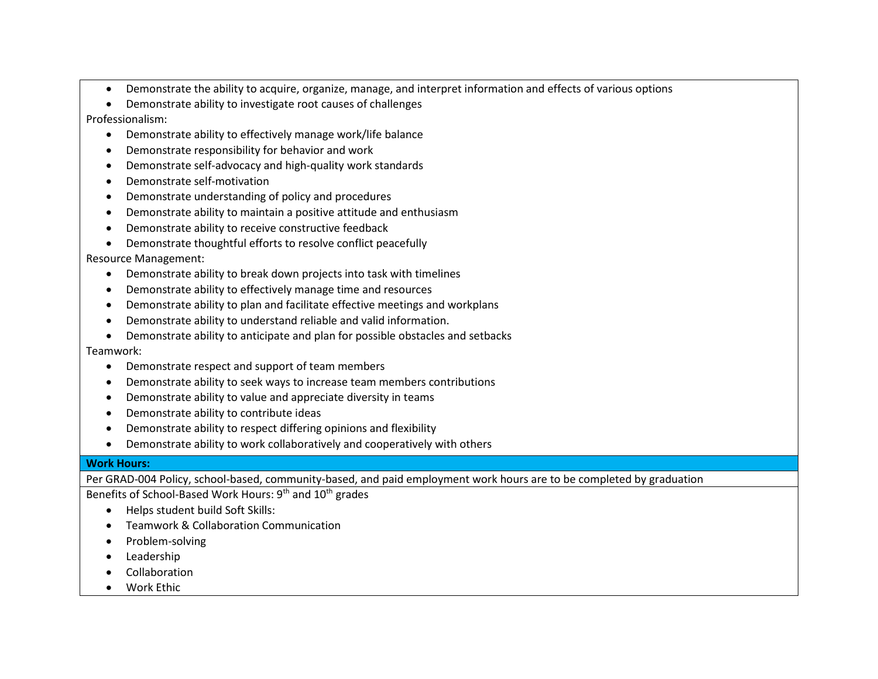- Demonstrate the ability to acquire, organize, manage, and interpret information and effects of various options
- Demonstrate ability to investigate root causes of challenges
- Professionalism:
	- Demonstrate ability to effectively manage work/life balance
	- Demonstrate responsibility for behavior and work
	- Demonstrate self-advocacy and high-quality work standards
	- Demonstrate self-motivation
	- Demonstrate understanding of policy and procedures
	- Demonstrate ability to maintain a positive attitude and enthusiasm
	- Demonstrate ability to receive constructive feedback
	- Demonstrate thoughtful efforts to resolve conflict peacefully

## Resource Management:

- Demonstrate ability to break down projects into task with timelines
- Demonstrate ability to effectively manage time and resources
- Demonstrate ability to plan and facilitate effective meetings and workplans
- Demonstrate ability to understand reliable and valid information.
- Demonstrate ability to anticipate and plan for possible obstacles and setbacks

## Teamwork:

- Demonstrate respect and support of team members
- Demonstrate ability to seek ways to increase team members contributions
- Demonstrate ability to value and appreciate diversity in teams
- Demonstrate ability to contribute ideas
- Demonstrate ability to respect differing opinions and flexibility
- Demonstrate ability to work collaboratively and cooperatively with others

## **Work Hours:**

Per GRAD-004 Policy, school-based, community-based, and paid employment work hours are to be completed by graduation

Benefits of School-Based Work Hours: 9<sup>th</sup> and 10<sup>th</sup> grades

- Helps student build Soft Skills:
- Teamwork & Collaboration Communication
- Problem-solving
- Leadership
- Collaboration
- Work Ethic